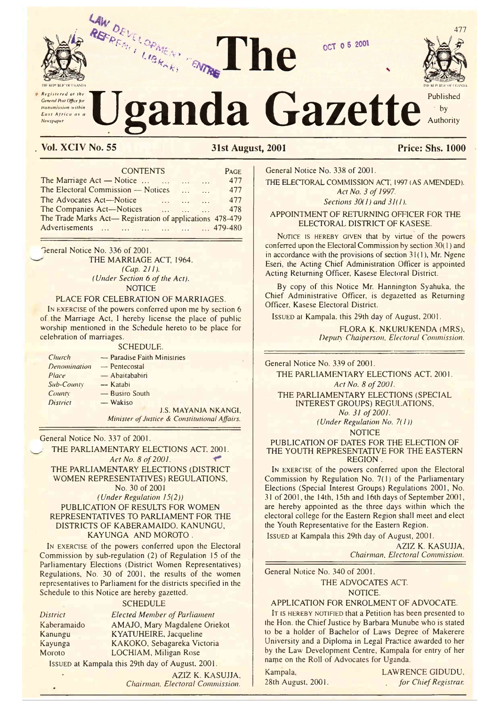

General Post Office for transmission within East Atrica as a Newspaper

# anda Gazette

he



477

Published  $\cdot$  by Authority

Price: Shs. 1000

# Vol. XCIV No. 55

**31st August, 2001** 

|                              | <b>CONTENTS</b>                                                              | PAGE |  |
|------------------------------|------------------------------------------------------------------------------|------|--|
|                              | The Marriage Act — Notice<br>$\sim$<br>$\cdots$                              | 477  |  |
|                              | The Electoral Commission — Notices<br>$\ddotsc$<br>$\cdots$                  | 477  |  |
|                              | The Advocates Act-Notice<br>$\mathbf{1}$<br>$\sim$ $\sim$ $\sim$<br>$\cdots$ | 477  |  |
|                              | The Companies Act-Notices<br>and the same of the same<br>$\sim$              | 478  |  |
|                              | The Trade Marks Act-Registration of applications 478-479                     |      |  |
| Advertisements       479-480 |                                                                              |      |  |

General Notice No. 336 of 2001. THE MARRIAGE ACT, 1964.  $(Cap. 211).$ (Under Section 6 of the Act). **NOTICE** 

#### PLACE FOR CELEBRATION OF MARRIAGES.

IN EXERCISE of the powers conferred upon me by section 6 of the Marriage Act, I hereby license the place of public worship mentioned in the Schedule hereto to be place for celebration of marriages.

#### **SCHEDULE.**

| Church          | — Paradise Faith Ministries                   |
|-----------------|-----------------------------------------------|
| Denomination    | $-$ Pentecostal                               |
| Place           | — Abaitababiri                                |
| Sub-County      | — Katabi                                      |
| County:         | - Busiro South                                |
| <b>District</b> | — Wakiso                                      |
|                 | <b>J.S. MAYANJA NKANGI,</b>                   |
|                 | Minister of Justice & Constitutional Affairs. |

General Notice No. 337 of 2001.

THE PARLIAMENTARY ELECTIONS ACT, 2001. Act No. 8 of 2001. THE PARLIAMENTARY ELECTIONS (DISTRICT WOMEN REPRESENTATIVES) REGULATIONS, No. 30 of 2001 (Under Regulation  $15(2)$ ) PUBLICATION OF RESULTS FOR WOMEN REPRESENTATIVES TO PARLIAMENT FOR THE DISTRICTS OF KABERAMAIDO, KANUNGU, KAYUNGA AND MOROTO.

IN EXERCISE of the powers conferred upon the Electoral Commission by sub-regulation (2) of Regulation 15 of the Parliamentary Elections (District Women Representatives) Regulations, No. 30 of 2001, the results of the women representatives to Parliament for the districts specified in the Schedule to this Notice are hereby gazetted.

**SCHEDULE** 

**District** Kaberamaido Kanungu Kayunga Moroto

**Elected Member of Parliament** AMAJO, Mary Magdalene Oriekot KYATUHEIRE, Jacqueline KAKOKO, Sebagareka Victoria LOCHIAM, Miligan Rose

ISSUED at Kampala this 29th day of August, 2001.

AZIZ K. KASUJJA, Chairman, Electoral Commission. General Notice No. 338 of 2001.

THE ELECTORAL COMMISSION ACT, 1997 (AS AMENDED). Act No. 3 of 1997.

OCT 0 5 2001

Sections  $30(1)$  and  $31(1)$ .

APPOINTMENT OF RETURNING OFFICER FOR THE ELECTORAL DISTRICT OF KASESE.

NOTICE IS HEREBY GIVEN that by virtue of the powers conferred upon the Electoral Commission by section  $30(1)$  and in accordance with the provisions of section  $31(1)$ , Mr. Ngene Eseri, the Acting Chief Administration Officer is appointed Acting Returning Officer, Kasese Electoral District.

By copy of this Notice Mr. Hannington Syahuka, the Chief Administrative Officer, is degazetted as Returning Officer, Kasese Electoral District.

ISSUED at Kampala, this 29th day of August, 2001.

FLORA K. NKURUKENDA (MRS), Deputy Chaiperson, Electoral Commission.

General Notice No. 339 of 2001.

THE PARLIAMENTARY ELECTIONS ACT, 2001. Act No. 8 of 2001.

THE PARLIAMENTARY ELECTIONS (SPECIAL **INTEREST GROUPS) REGULATIONS,** 

No. 31 of 2001. (Under Regulation No. 7(1))

**NOTICE** 

PUBLICATION OF DATES FOR THE ELECTION OF THE YOUTH REPRESENTATIVE FOR THE EASTERN **REGION** 

IN EXERCISE of the powers conferred upon the Electoral Commission by Regulation No. 7(1) of the Parliamentary Elections (Special Interest Groups) Regulations 2001, No. 31 of 2001, the 14th, 15th and 16th days of September 2001, are hereby appointed as the three days within which the electoral college for the Eastern Region shall meet and elect the Youth Representative for the Eastern Region.

ISSUED at Kampala this 29th day of August, 2001.

AZIZ K. KASUJJA, Chairman, Electoral Commission.

General Notice No. 340 of 2001. THE ADVOCATES ACT. NOTICE.

APPLICATION FOR ENROLMENT OF ADVOCATE.

IT IS HEREBY NOTIFIED that a Petition has been presented to the Hon. the Chief Justice by Barbara Munube who is stated to be a holder of Bachelor of Laws Degree of Makerere University and a Diploma in Legal Practice awarded to her by the Law Development Centre, Kampala for entry of her name on the Roll of Advocates for Uganda.

Kampala, 28th August, 2001. LAWRENCE GIDUDU. for Chief Registrar.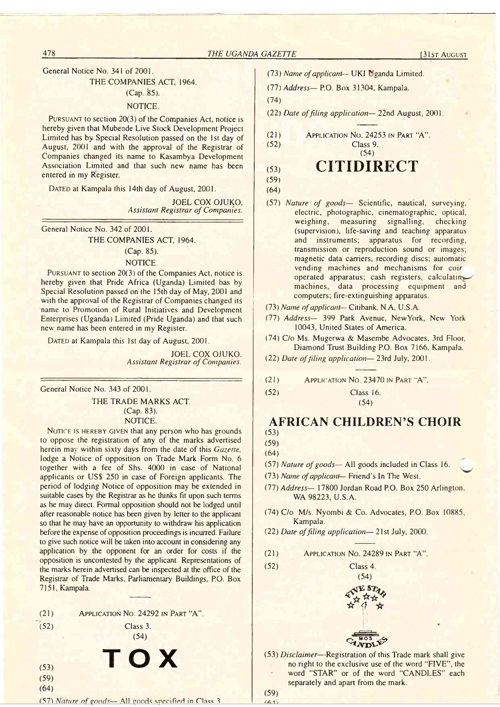General Notice No. 341 of 2001.

## THE COMPANIES ACT, 1964.

# $(Cap. 85)$ .

# NOTICE.

Pursuant to section 20(3) of the Companies Act, notice is hereby given that Mubende Live Stock Development Project Limited has by Special Resolution passed on the 1st day of August, 2001 and with the approval of the Registrar of Companies changed its name to Kasambya Development Association Limited and that such new name has been entered in my Register.

DATED at Kampala this 14th day of August, 2001.

JOEL COX OJUKO, **Assistant Registrar of Companies.** 

General Notice No. 342 of 2001.

THE COMPANIES ACT, 1964.

## (Cap. 85).

#### NOTICE.

PURSUANT to section  $20(3)$  of the Companies Act, notice is hereby given that Pride Africa (Uganda) Limited has by Special Resolution passed on the 15th day of May, 2001 and with the approval of the Registrar of Companies changed its name to Promotion of Rural Initiatives and Development Enterprises (Uganda) Limited (Pride Uganda) and that such new' name has been entered in my Register.

DATED at Kampala this 1st day of August, 2001.

JOEL COX OJUKO. **Assistant Registrar of Companies.** 

General Notice No. 343 of 2001.

THE TRADE MARKS ACT. (Cap. 83). NOTICE.

NOTICE IS HEREBY GIVEN that any person who has grounds to oppose the registration of any of the marks advertised herein may within sixty days from the date of this *Gazette*, lodge a Notice of opposition on Trade Mark Form No. 6 together with a fee of Shs. 4000 in case of National applicants or US\$ 250 in case of Foreign applicants. The period of lodging Notice of opposition may be extended in suitable cases by the Registrar as he thinks fit upon such terms as he may direct. Formal opposition should not be lodged until after reasonable notice has been given by letter to the applicant so that he may have an opportunity to withdraw his application before the expense of opposition proceedings is incurred. Failure to give such notice will be taken into account in considering any application by the opponent for an order for costs if the opposition is uncontested by the applicant. Representations of the marks herein advertised can be inspected at the office of the Registrar of Trade Marks, Parliamentary Buildings, P.O. Box 7151, Kampala.

| (21) | APPLICATION No. 24292 IN PART "A". |
|------|------------------------------------|
|------|------------------------------------|

- (52)
- Class 3.

**T O X 57**

- (54)
- (53) (59)
- (64)

(57) *Nature of goods*— All goods specified in Class 3

- (73) *Name of applicant—* UKI Uganda Limited.
- (77) *Address* P.O. Box 31304, Kampala.
- (74)

(22) *Date offiling application*— 22nd August, 2001.

(54)

(21) Application No . 24253 in Part "A" . Class 9.

(53) CITIDIRECT

- (59)
- (64)
- (57) *Nature of goods* Scientific, nautical, surveying, electric, photographic, cinematographic, optical, weighing, measuring signalling, checking (supervision), life-saving and teaching apparatus and instruments; apparatus for recording, transmission or reproduction sound or images; magnetic data carriers, recording discs; automatic vending machines and mechanisms for coir operated apparatus; cash registers, calculating machines, data processing equipment and computers; fire-extinguishing apparatus.
- (73) *Name of applicant—* Citibank, N.A, U.S.A.
- (77) *Address* 399 Park Avenue, NewYork, New York 10043, United States of America.
- (74) C/o Ms. Mugerwa & Mascmbe Advocates, 3rd Floor, Diamond Trust Building P.O. Box 7166. Kampala.
- (22) *Date of filing application* 23rd July, 2001.
- (21) A pplication No. 23470 in Part "A".
- (52) Class 16. (54)

# **AFRICAN CHILDREN'S CHOIR** (53)

- (59) (64)
- (57) *Nature of goods* All goods included in Class 16.
- (73) *Name of applicant—* Friend's In The West.
- (77) *Address* 17800 Jordan Road P.O. Box 250 Arlington. WA 98223, U.S.A.
- (74) C/o M/s. Nyombi & Co. Advocates, P.O. Box 10885, Kampala.
- (22) *Date of filing application* 21st July, 2000.
- (21) Application No. 24289 in Part "A'
- (52) Class 4.
	- (54) **IESTA**  $\mathbf{R}^{\prime\prime}$  $\boldsymbol{\pi}$   $\boldsymbol{q}$  y MOS
- (53) *Disclaimer*—Registration of this Trade mark shall give no right to the exclusive use of the word "FIVE", the word "STAR" or of the word "CANDLES" each separately and apart from the mark.

(59)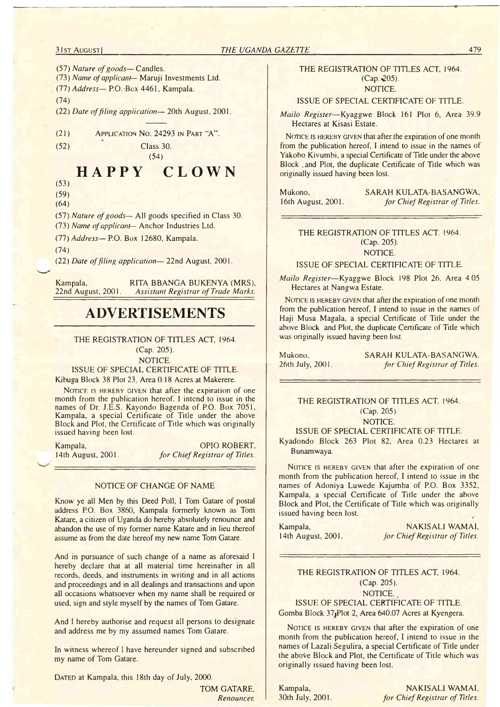## **31st August] THE UGANDA GAZETTE 1999**

(57) *Nature of goods*— Candles.

(73) *Name of applicant—* Maruji Investments Ltd.

(77) *Address*— P.O. Box 4461, Kampala.

(74)

(22) *Date of filing application*— 20th August, 2001.

(21) Application No. 24293 in Part "A".

 $(52)$  Class 30.

# **HAPPY CLOWN**

(54)

(53) (59)

(64)

(57) *Nature of goods*— All goods specified in Class 30. (73) *Name of applicant-* Anchor Industries Ltd.

(77) *Address*— P.O. Box 12680, Kampala.

(74)

(22) *Date offiling application*— 22nd August, 2001.

Kampala, RITA BBANGA BUKENYA (MRS), 22nd August, 2001. Assistant Registrar of Trade Marks. **Assistant Registrar of Trade Marks.** 

# **ADVERTISEMENTS**

#### THE REGISTRATION OF TITLES ACT, 1964.

(Cap. 205). NOTICE.

ISSUE OF SPECIAL CERTIFICATE OF TITLE. Kibuga Block 38 Plot 23. Area 0.18 Acres at Makerere.

NOTICE IS HEREBY GIVEN that after the expiration of one month from the publication hereof. I intend to issue in the names of Dr. J.E.S. Kayondo Bagenda of P.O. Box 7051, Kampala, a special Certificate of Title under the above Block and Plot, the Certificate of Title which was originally issued having been lost.

Kampala, CPIO ROBERT, 14th August, 2001. *for Chief Registrar of Titles.* for Chief Registrar of Titles.

#### NOTICE OF CHANGE OF NAME

Know ye all Men by this Deed Poll, I Tom Gatare of postal address P.O. Box 3860, Kampala formerly known as Tom Katare, a citizen of Uganda do hereby absolutely renounce and abandon the use of my former name Katare and in lieu thereof assume as from the date hereof my new name Tom Gatare.

And in pursuance of such change of a name as aforesaid I hereby declare that at all material time hereinafter in all records, deeds, and instruments in writing and in all actions and proceedings and in all dealings and transactions and upon all occasions whatsoever when my name shall be required or used, sign and style myself by the names of Tom Gatare.

And I hereby authorise and request all persons to designate and address me by my assumed names Tom Gatare.

In witness whereof I have hereunder signed and subscribed my name of Tom Gatare.

DATED at Kampala, this 18th day of July, 2000.

TOM GATARE, *Renouncer.*

#### THE REGISTRATION OF TITLES ACT, 1964.  $(Cap. 205)$ . NOTICE.

#### ISSUE OF SPECIAL CERTIFICATE OF TITLE.

*Mailo Register*—Kyaggwe Block 161 Plot 6, Area 39.9 Hectares at Kisasi Estate.

NOTICE IS HEREBY GIVEN that after the expiration of one month from the publication hereof, I intend to issue in the names of Yakobo Kivumbi, a special Certificate of Title under the above Block . and Plot, the duplicate Certificate of Title which was originally issued having been lost.

Mukono, SARAH KULATA-BASANGWA. 16th August, 2001. *for Chief Registrar of Titles.*

## THE REGISTRATION OF TITLES ACT. 1964. (Cap. 205). NOTICE.

ISSUE OF SPECIAL CERTIFICATE OF TITLE.

*Mailo Register*—Kyaggwe Block 198 Plot 26. Area 4.05 Hectares at Nangwa Estate.

NOTICE IS HEREBY GIVEN that after the expiration of one month from the publication hereof, I intend to issue in the names of Haji Musa Magala, a special Certificate of Title under the above Block and Plot, the duplicate Certificate of Title which was originally issued having been lost.

Mukono, SARAH KULATA-BASANGWA. 26th July, 2001. *for Chief Registrar of Titles.*

THE REGISTRATION OF TITLES ACT. 1964. (Cap. 205). NOTICE.

#### ISSUE OF SPECIAL CERTIFICATE OF TITLE.

Kyadondo Block 263 Plot 82, Area 0.23 Hectares at Bunamwaya.

NOTICE IS HEREBY GIVEN that after the expiration of one month from the publication hereof, I intend to issue in the names of Adoniya Luwede Kajumba of P.O. Box 3352, Kampala, a special Certificate of Title under the above Block and Plot, the Certificate of Title which was originally issued having been lost.

Kampala, NAKISALI WAMAI, 14th August, 2001. *for Chief Registrar of Titles.*

#### THE REGISTRATION OF TITLES ACT, 1964. (Cap. 205). NOTICE.

ISSUE OF SPECIAL CERTIFICATE OF TITLE. Gomba Block 37jPlot 2, Area 640.07 Acres at Kyengera.

NOTICE IS HEREBY GIVEN that after the expiration of one month from the publication hereof, I intend to issue in the names of Lazali Segulira, a special Certificate of Title under the above Block and Plot, the Certificate of Title which was originally issued having been lost.

Kampala, NAKISALI WAMAI. 30th July, 2001. *for Chief Registrar of Titles.*